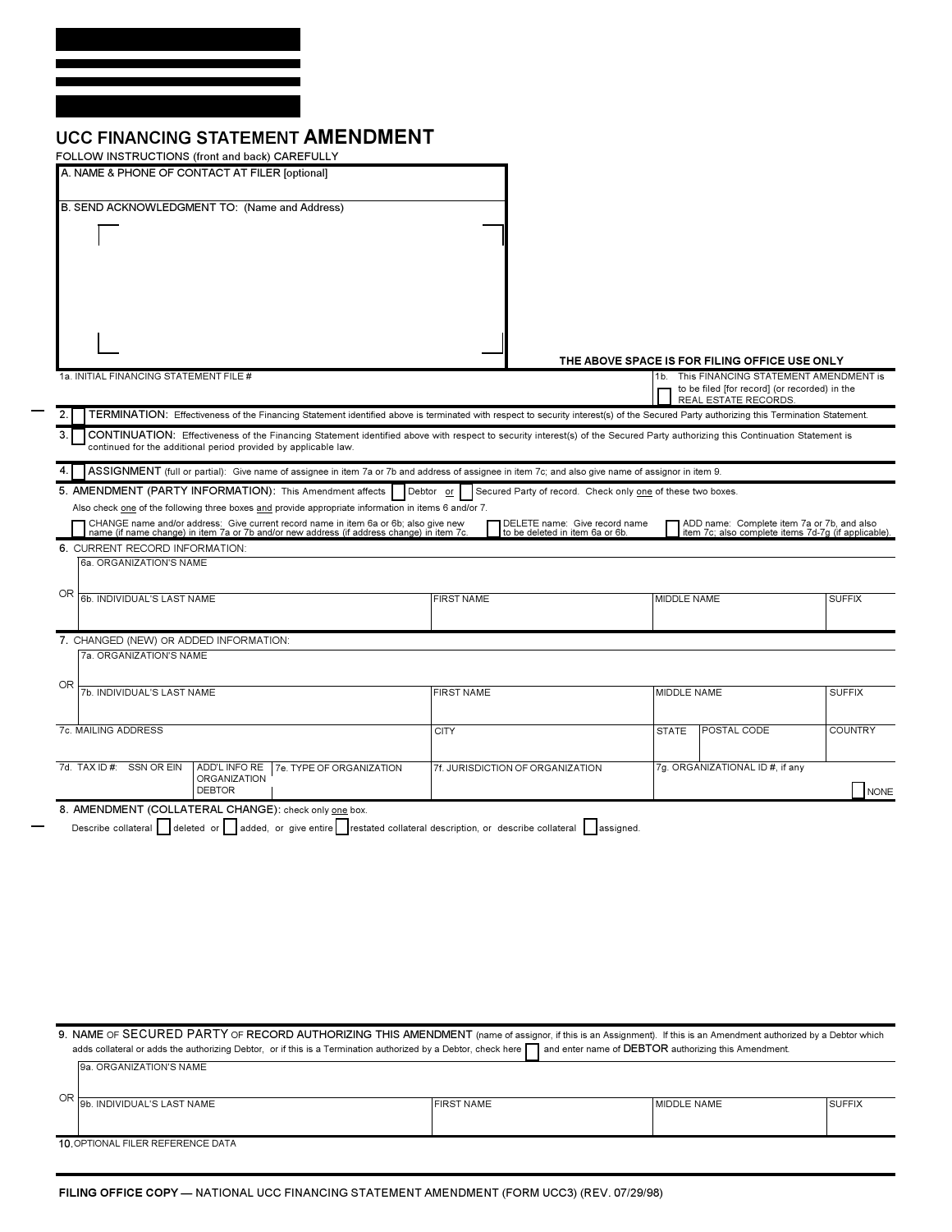## **UCC FINANCING STATEMENT AMENDMENT**

| FOLLOW INSTRUCTIONS (front and back) CAREFULLY                                                                                                                                                                                                       |                                                                          |                    |                                                                      |                |
|------------------------------------------------------------------------------------------------------------------------------------------------------------------------------------------------------------------------------------------------------|--------------------------------------------------------------------------|--------------------|----------------------------------------------------------------------|----------------|
| A. NAME & PHONE OF CONTACT AT FILER [optional]                                                                                                                                                                                                       |                                                                          |                    |                                                                      |                |
| B. SEND ACKNOWLEDGMENT TO: (Name and Address)                                                                                                                                                                                                        |                                                                          |                    |                                                                      |                |
|                                                                                                                                                                                                                                                      |                                                                          |                    |                                                                      |                |
|                                                                                                                                                                                                                                                      |                                                                          |                    |                                                                      |                |
|                                                                                                                                                                                                                                                      |                                                                          |                    |                                                                      |                |
|                                                                                                                                                                                                                                                      |                                                                          |                    |                                                                      |                |
|                                                                                                                                                                                                                                                      |                                                                          |                    |                                                                      |                |
|                                                                                                                                                                                                                                                      |                                                                          |                    |                                                                      |                |
|                                                                                                                                                                                                                                                      |                                                                          |                    | THE ABOVE SPACE IS FOR FILING OFFICE USE ONLY                        |                |
| 1a. INITIAL FINANCING STATEMENT FILE #                                                                                                                                                                                                               |                                                                          |                    | 1b. This FINANCING STATEMENT AMENDMENT is                            |                |
|                                                                                                                                                                                                                                                      |                                                                          |                    | to be filed [for record] (or recorded) in the<br>REAL ESTATE RECORDS |                |
| 2.<br>TERMINATION: Effectiveness of the Financing Statement identified above is terminated with respect to security interest(s) of the Secured Party authorizing this Termination Statement.                                                         |                                                                          |                    |                                                                      |                |
| CONTINUATION: Effectiveness of the Financing Statement identified above with respect to security interest(s) of the Secured Party authorizing this Continuation Statement is<br>3<br>continued for the additional period provided by applicable law. |                                                                          |                    |                                                                      |                |
|                                                                                                                                                                                                                                                      |                                                                          |                    |                                                                      |                |
| ASSIGNMENT (full or partial): Give name of assignee in item 7a or 7b and address of assignee in item 7c; and also give name of assignor in item 9.                                                                                                   |                                                                          |                    |                                                                      |                |
| 5. AMENDMENT (PARTY INFORMATION): This Amendment affects<br>Also check one of the following three boxes and provide appropriate information in items 6 and/or 7.                                                                                     | Secured Party of record. Check only one of these two boxes.<br>Debtor or |                    |                                                                      |                |
| CHANGE name and/or address: Give current record name in item 6a or 6b; also give new                                                                                                                                                                 | DELETE name: Give record name                                            |                    | ADD name: Complete item 7a or 7b, and also                           |                |
| name (if name change) in item 7a or 7b and/or new address (if address change) in item 7c.<br>6. CURRENT RECORD INFORMATION:                                                                                                                          | to be deleted in item 6a or 6b.                                          |                    | item 7c; also complete items 7d-7g (if applicable).                  |                |
| 6a. ORGANIZATION'S NAME                                                                                                                                                                                                                              |                                                                          |                    |                                                                      |                |
|                                                                                                                                                                                                                                                      |                                                                          |                    |                                                                      |                |
| OR<br>6b. INDIVIDUAL'S LAST NAME                                                                                                                                                                                                                     | <b>FIRST NAME</b>                                                        | <b>MIDDLE NAME</b> |                                                                      | <b>SUFFIX</b>  |
|                                                                                                                                                                                                                                                      |                                                                          |                    |                                                                      |                |
| 7. CHANGED (NEW) OR ADDED INFORMATION:                                                                                                                                                                                                               |                                                                          |                    |                                                                      |                |
| 7a. ORGANIZATION'S NAME                                                                                                                                                                                                                              |                                                                          |                    |                                                                      |                |
| OR<br>7b. INDIVIDUAL'S LAST NAME                                                                                                                                                                                                                     | <b>FIRST NAME</b>                                                        | MIDDLE NAME        |                                                                      | <b>SUFFIX</b>  |
|                                                                                                                                                                                                                                                      |                                                                          |                    |                                                                      |                |
| 7c. MAILING ADDRESS                                                                                                                                                                                                                                  | <b>CITY</b>                                                              | <b>STATE</b>       | POSTAL CODE                                                          | <b>COUNTRY</b> |
|                                                                                                                                                                                                                                                      |                                                                          |                    |                                                                      |                |
| 7d. TAX ID #: SSN OR EIN<br>ADD'L INFO RE<br>7e. TYPE OF ORGANIZATION                                                                                                                                                                                | 7f. JURISDICTION OF ORGANIZATION                                         |                    | 7g. ORGANIZATIONAL ID #, if any                                      |                |
| ORGANIZATION<br><b>DEBTOR</b>                                                                                                                                                                                                                        |                                                                          |                    |                                                                      | <b>NONE</b>    |
| 8. AMENDMENT (COLLATERAL CHANGE): check only one box.                                                                                                                                                                                                |                                                                          |                    |                                                                      |                |
| Describe collateral deleted or added, or give entire restated collateral description, or describe collateral                                                                                                                                         |                                                                          | assigned.          |                                                                      |                |
|                                                                                                                                                                                                                                                      |                                                                          |                    |                                                                      |                |
|                                                                                                                                                                                                                                                      |                                                                          |                    |                                                                      |                |
|                                                                                                                                                                                                                                                      |                                                                          |                    |                                                                      |                |

9. NAME OF SECURED PARTY OF RECORD AUTHORIZING THIS AMENDMENT (name of assignor, if this is an Assignment). If this is an Amendment authorized by a Debtor which adds collateral or adds the authorizing Debtor, or if this is a Termination authorized by a Debtor, check here name of DEBTOR authorizing this Amendment. 9a. ORGANIZATION'S NAME OR 9b. INDIVIDUAL'S LAST NAME **FIRST NAME** MIDDLE NAME **SUFFIX** 10. OPTIONAL FILER REFERENCE DATA